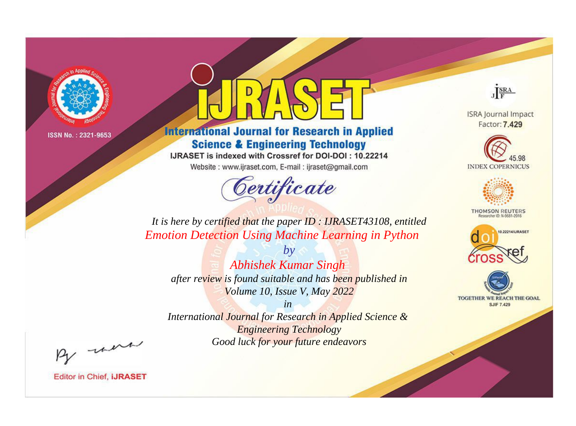

# **International Journal for Research in Applied Science & Engineering Technology**

IJRASET is indexed with Crossref for DOI-DOI: 10.22214

Website: www.ijraset.com, E-mail: ijraset@gmail.com



JERA

**ISRA Journal Impact** Factor: 7.429





**THOMSON REUTERS** 



TOGETHER WE REACH THE GOAL **SJIF 7.429** 

*It is here by certified that the paper ID : IJRASET43108, entitled Emotion Detection Using Machine Learning in Python*

*by Abhishek Kumar Singh after review is found suitable and has been published in Volume 10, Issue V, May 2022*

*in* 

*International Journal for Research in Applied Science & Engineering Technology Good luck for your future endeavors*

By morn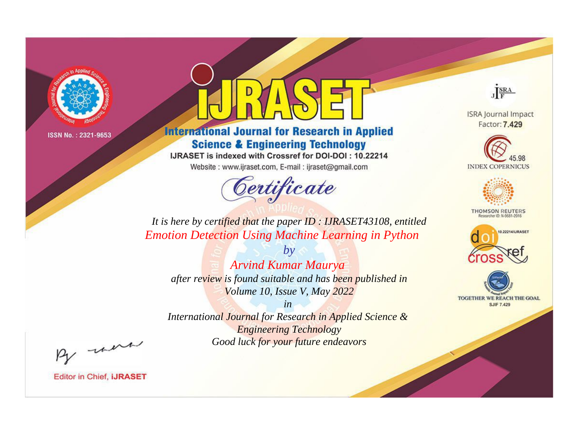

# **International Journal for Research in Applied Science & Engineering Technology**

IJRASET is indexed with Crossref for DOI-DOI: 10.22214

Website: www.ijraset.com, E-mail: ijraset@gmail.com



JERA

**ISRA Journal Impact** Factor: 7.429





**THOMSON REUTERS** 



TOGETHER WE REACH THE GOAL **SJIF 7.429** 

It is here by certified that the paper ID: IJRASET43108, entitled **Emotion Detection Using Machine Learning in Python** 

 $b\nu$ Arvind Kumar Maurya after review is found suitable and has been published in Volume 10, Issue V, May 2022

 $in$ International Journal for Research in Applied Science & **Engineering Technology** Good luck for your future endeavors

By morn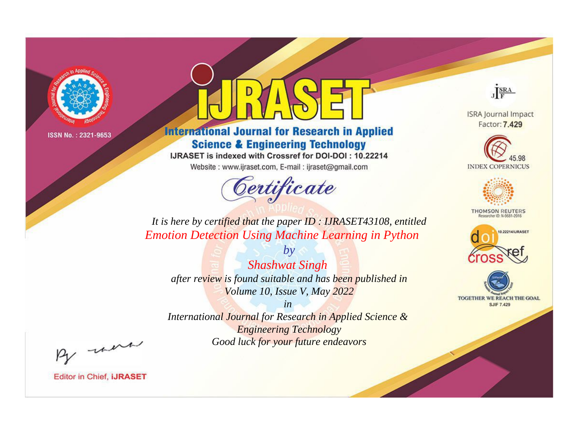

# **International Journal for Research in Applied Science & Engineering Technology**

IJRASET is indexed with Crossref for DOI-DOI: 10.22214

Website: www.ijraset.com, E-mail: ijraset@gmail.com



JERA

**ISRA Journal Impact** Factor: 7.429





**THOMSON REUTERS** 



TOGETHER WE REACH THE GOAL **SJIF 7.429** 

*It is here by certified that the paper ID : IJRASET43108, entitled Emotion Detection Using Machine Learning in Python*

*by Shashwat Singh after review is found suitable and has been published in Volume 10, Issue V, May 2022*

*in* 

*International Journal for Research in Applied Science & Engineering Technology Good luck for your future endeavors*

By morn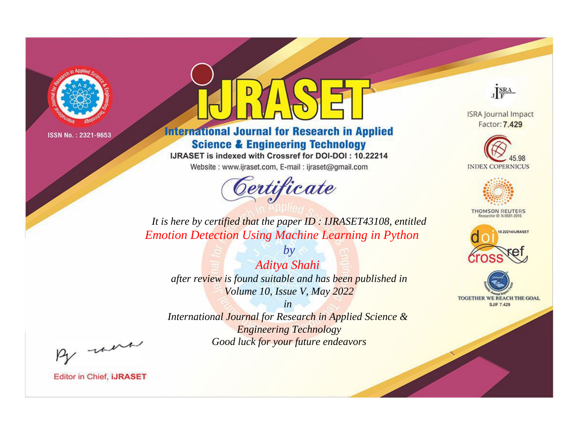

# **International Journal for Research in Applied Science & Engineering Technology**

IJRASET is indexed with Crossref for DOI-DOI: 10.22214

Website: www.ijraset.com, E-mail: ijraset@gmail.com



JERA

**ISRA Journal Impact** Factor: 7.429





**THOMSON REUTERS** 



TOGETHER WE REACH THE GOAL **SJIF 7.429** 

*It is here by certified that the paper ID : IJRASET43108, entitled Emotion Detection Using Machine Learning in Python*

*by Aditya Shahi after review is found suitable and has been published in Volume 10, Issue V, May 2022*

*in* 

*International Journal for Research in Applied Science & Engineering Technology Good luck for your future endeavors*

By morn